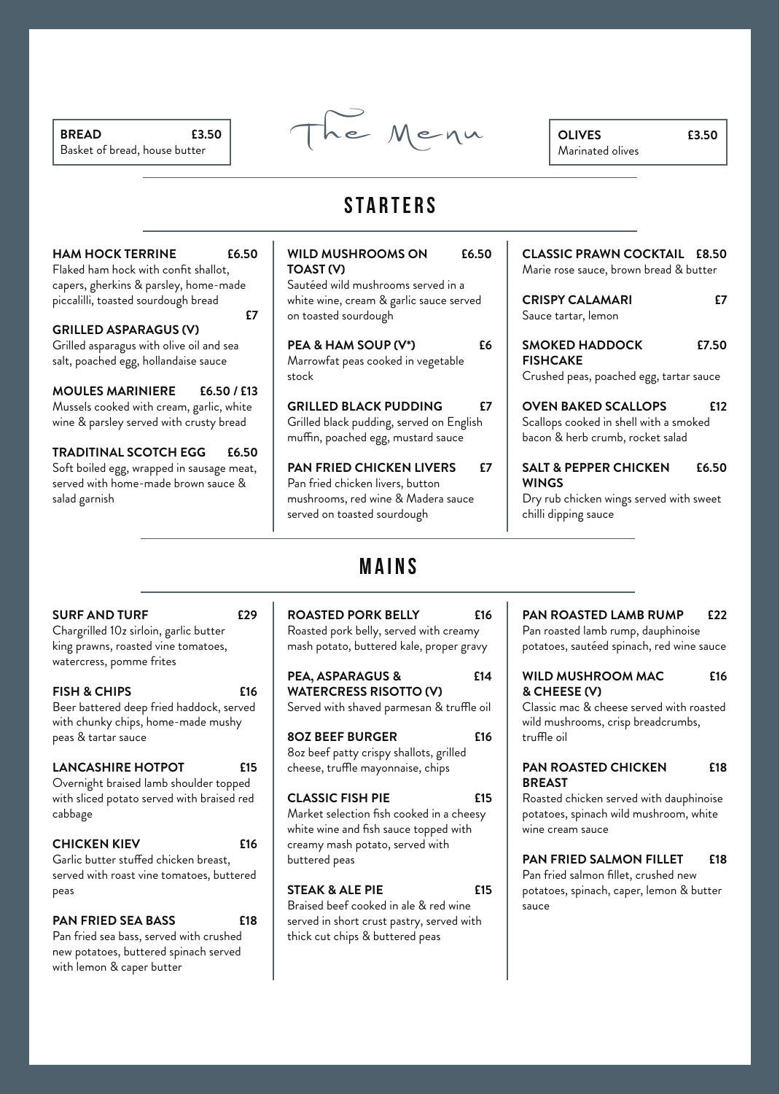*BREAD* Basket of bread, house butter



*OLIVES* Marinated olives

Ŷ.

## **starters**

| <b>HAM HOCK TERRINE</b><br>£6.50                                                 | <b>WILD MUSHROOMS ON</b><br>£6.50                                              |    | <b>CLASSIC PRAWN COCKTAIL £8.50</b>                                        |
|----------------------------------------------------------------------------------|--------------------------------------------------------------------------------|----|----------------------------------------------------------------------------|
| Flaked ham hock with confit shallot,                                             | TOAST (V)                                                                      |    | Marie rose sauce, brown bread & butter                                     |
| capers, gherkins & parsley, home-made                                            | Sautéed wild mushrooms served in a                                             |    |                                                                            |
| piccalilli, toasted sourdough bread                                              | white wine, cream & garlic sauce served                                        |    | <b>CRISPY CALAMARI</b><br>£7                                               |
| £7                                                                               | on toasted sourdough                                                           |    | Sauce tartar, lemon                                                        |
| <b>GRILLED ASPARAGUS (V)</b>                                                     |                                                                                |    |                                                                            |
| Grilled asparagus with olive oil and sea                                         | PEA & HAM SOUP (V*)                                                            | £6 | <b>SMOKED HADDOCK</b><br>£7.50                                             |
| salt, poached egg, hollandaise sauce                                             | Marrowfat peas cooked in vegetable                                             |    | <b>FISHCAKE</b>                                                            |
|                                                                                  | stock                                                                          |    | Crushed peas, poached egg, tartar sauce                                    |
| <b>MOULES MARINIERE</b><br>£6.50 / £13                                           |                                                                                |    |                                                                            |
| Mussels cooked with cream, garlic, white                                         | <b>GRILLED BLACK PUDDING</b>                                                   | £7 | <b>OVEN BAKED SCALLOPS</b><br>£12                                          |
| wine & parsley served with crusty bread                                          | Grilled black pudding, served on English<br>muffin, poached egg, mustard sauce |    | Scallops cooked in shell with a smoked<br>bacon & herb crumb, rocket salad |
| <b>TRADITINAL SCOTCH EGG</b><br>£6.50                                            |                                                                                |    |                                                                            |
| Soft boiled egg, wrapped in sausage meat,<br>served with home-made brown sauce & | <b>PAN FRIED CHICKEN LIVERS</b><br>Pan fried chicken livers, button            | f7 | <b>SALT &amp; PEPPER CHICKEN</b><br>£6.50<br><b>WINGS</b>                  |
| salad garnish                                                                    | mushrooms, red wine & Madera sauce<br>served on toasted sourdough              |    | Dry rub chicken wings served with sweet<br>chilli dipping sauce            |
|                                                                                  |                                                                                |    |                                                                            |
|                                                                                  |                                                                                |    |                                                                            |

### *SURF AND TURF*

Chargrilled 10z sirloin, garlic butter king prawns, roasted vine tomatoes, watercress, pomme frites

*£29*

 $\overline{1}$ 

*£16 FISH & CHIPS* Beer battered deep fried haddock, served with chunky chips, home-made mushy peas & tartar sauce

| <b>LANCASHIRE HOTPOT</b>                                                                        | f15        |
|-------------------------------------------------------------------------------------------------|------------|
| Overnight braised lamb shoulder topped<br>with sliced potato served with braised red<br>cabbage |            |
| <b>CHICKEN KIEV</b><br>Garlic butter stuffed chicken breast,                                    | <b>£16</b> |

served with roast vine tomatoes, buttered peas

*£18 PAN FRIED SEA BASS*  Pan fried sea bass, served with crushed new potatoes, buttered spinach served with lemon & caper butter

# **mains**

*£16 ROASTED PORK BELLY* Roasted pork belly, served with creamy mash potato, buttered kale, proper gravy

*£14 PEA, ASPARAGUS & WATERCRESS RISOTTO (V)* Served with shaved parmesan & truffle oil

*£16 8OZ BEEF BURGER* 8oz beef patty crispy shallots, grilled cheese, truffle mayonnaise, chips

*£15 CLASSIC FISH PIE* Market selection fish cooked in a cheesy white wine and fish sauce topped with creamy mash potato, served with buttered peas

*£15 STEAK & ALE PIE*  Braised beef cooked in ale & red wine served in short crust pastry, served with thick cut chips & buttered peas

#### *£22 PAN ROASTED LAMB RUMP*

Pan roasted lamb rump, dauphinoise potatoes, sautéed spinach, red wine sauce

### *£16 WILD MUSHROOM MAC & CHEESE (V)*

Classic mac & cheese served with roasted wild mushrooms, crisp breadcrumbs, truffle oil

### *£18 PAN ROASTED CHICKEN BREAST*

Roasted chicken served with dauphinoise potatoes, spinach wild mushroom, white wine cream sauce

#### *£18 PAN FRIED SALMON FILLET*

Pan fried salmon fillet, crushed new potatoes, spinach, caper, lemon & butter sauce